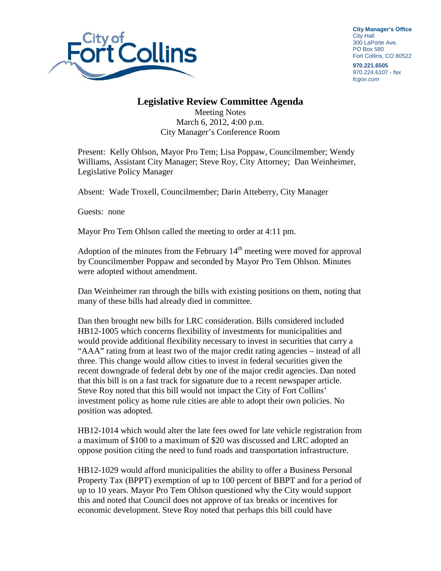

**City Manager's Office** City Hall 300 LaPorte Ave. PO Box 580 Fort Collins, CO 80522

**970.221.6505** 970.224.6107 - fax *fcgov.com*

## **Legislative Review Committee Agenda**

Meeting Notes March 6, 2012, 4:00 p.m. City Manager's Conference Room

Present: Kelly Ohlson, Mayor Pro Tem; Lisa Poppaw, Councilmember; Wendy Williams, Assistant City Manager; Steve Roy, City Attorney; Dan Weinheimer, Legislative Policy Manager

Absent: Wade Troxell, Councilmember; Darin Atteberry, City Manager

Guests: none

Mayor Pro Tem Ohlson called the meeting to order at 4:11 pm.

Adoption of the minutes from the February  $14<sup>th</sup>$  meeting were moved for approval by Councilmember Poppaw and seconded by Mayor Pro Tem Ohlson. Minutes were adopted without amendment.

Dan Weinheimer ran through the bills with existing positions on them, noting that many of these bills had already died in committee.

Dan then brought new bills for LRC consideration. Bills considered included HB12-1005 which concerns flexibility of investments for municipalities and would provide additional flexibility necessary to invest in securities that carry a "AAA" rating from at least two of the major credit rating agencies – instead of all three. This change would allow cities to invest in federal securities given the recent downgrade of federal debt by one of the major credit agencies. Dan noted that this bill is on a fast track for signature due to a recent newspaper article. Steve Roy noted that this bill would not impact the City of Fort Collins' investment policy as home rule cities are able to adopt their own policies. No position was adopted.

HB12-1014 which would alter the late fees owed for late vehicle registration from a maximum of \$100 to a maximum of \$20 was discussed and LRC adopted an oppose position citing the need to fund roads and transportation infrastructure.

HB12-1029 would afford municipalities the ability to offer a Business Personal Property Tax (BPPT) exemption of up to 100 percent of BBPT and for a period of up to 10 years. Mayor Pro Tem Ohlson questioned why the City would support this and noted that Council does not approve of tax breaks or incentives for economic development. Steve Roy noted that perhaps this bill could have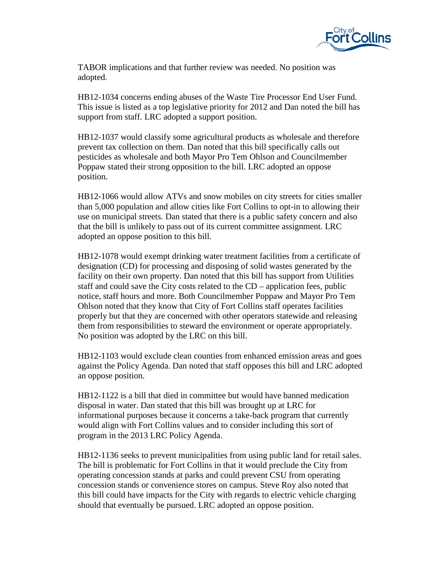

TABOR implications and that further review was needed. No position was adopted.

HB12-1034 concerns ending abuses of the Waste Tire Processor End User Fund. This issue is listed as a top legislative priority for 2012 and Dan noted the bill has support from staff. LRC adopted a support position.

HB12-1037 would classify some agricultural products as wholesale and therefore prevent tax collection on them. Dan noted that this bill specifically calls out pesticides as wholesale and both Mayor Pro Tem Ohlson and Councilmember Poppaw stated their strong opposition to the bill. LRC adopted an oppose position.

HB12-1066 would allow ATVs and snow mobiles on city streets for cities smaller than 5,000 population and allow cities like Fort Collins to opt-in to allowing their use on municipal streets. Dan stated that there is a public safety concern and also that the bill is unlikely to pass out of its current committee assignment. LRC adopted an oppose position to this bill.

HB12-1078 would exempt drinking water treatment facilities from a certificate of designation (CD) for processing and disposing of solid wastes generated by the facility on their own property. Dan noted that this bill has support from Utilities staff and could save the City costs related to the CD – application fees, public notice, staff hours and more. Both Councilmember Poppaw and Mayor Pro Tem Ohlson noted that they know that City of Fort Collins staff operates facilities properly but that they are concerned with other operators statewide and releasing them from responsibilities to steward the environment or operate appropriately. No position was adopted by the LRC on this bill.

HB12-1103 would exclude clean counties from enhanced emission areas and goes against the Policy Agenda. Dan noted that staff opposes this bill and LRC adopted an oppose position.

HB12-1122 is a bill that died in committee but would have banned medication disposal in water. Dan stated that this bill was brought up at LRC for informational purposes because it concerns a take-back program that currently would align with Fort Collins values and to consider including this sort of program in the 2013 LRC Policy Agenda.

HB12-1136 seeks to prevent municipalities from using public land for retail sales. The bill is problematic for Fort Collins in that it would preclude the City from operating concession stands at parks and could prevent CSU from operating concession stands or convenience stores on campus. Steve Roy also noted that this bill could have impacts for the City with regards to electric vehicle charging should that eventually be pursued. LRC adopted an oppose position.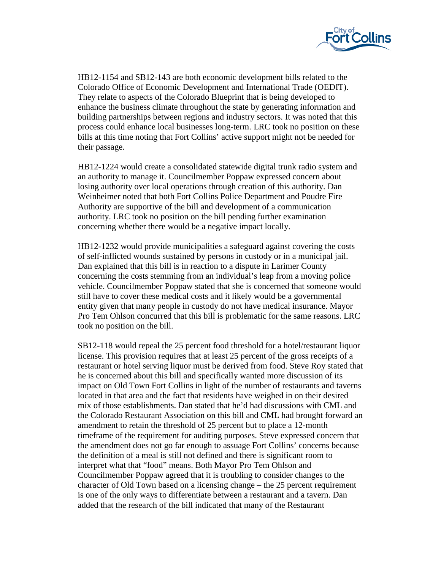

HB12-1154 and SB12-143 are both economic development bills related to the Colorado Office of Economic Development and International Trade (OEDIT). They relate to aspects of the Colorado Blueprint that is being developed to enhance the business climate throughout the state by generating information and building partnerships between regions and industry sectors. It was noted that this process could enhance local businesses long-term. LRC took no position on these bills at this time noting that Fort Collins' active support might not be needed for their passage.

HB12-1224 would create a consolidated statewide digital trunk radio system and an authority to manage it. Councilmember Poppaw expressed concern about losing authority over local operations through creation of this authority. Dan Weinheimer noted that both Fort Collins Police Department and Poudre Fire Authority are supportive of the bill and development of a communication authority. LRC took no position on the bill pending further examination concerning whether there would be a negative impact locally.

HB12-1232 would provide municipalities a safeguard against covering the costs of self-inflicted wounds sustained by persons in custody or in a municipal jail. Dan explained that this bill is in reaction to a dispute in Larimer County concerning the costs stemming from an individual's leap from a moving police vehicle. Councilmember Poppaw stated that she is concerned that someone would still have to cover these medical costs and it likely would be a governmental entity given that many people in custody do not have medical insurance. Mayor Pro Tem Ohlson concurred that this bill is problematic for the same reasons. LRC took no position on the bill.

SB12-118 would repeal the 25 percent food threshold for a hotel/restaurant liquor license. This provision requires that at least 25 percent of the gross receipts of a restaurant or hotel serving liquor must be derived from food. Steve Roy stated that he is concerned about this bill and specifically wanted more discussion of its impact on Old Town Fort Collins in light of the number of restaurants and taverns located in that area and the fact that residents have weighed in on their desired mix of those establishments. Dan stated that he'd had discussions with CML and the Colorado Restaurant Association on this bill and CML had brought forward an amendment to retain the threshold of 25 percent but to place a 12-month timeframe of the requirement for auditing purposes. Steve expressed concern that the amendment does not go far enough to assuage Fort Collins' concerns because the definition of a meal is still not defined and there is significant room to interpret what that "food" means. Both Mayor Pro Tem Ohlson and Councilmember Poppaw agreed that it is troubling to consider changes to the character of Old Town based on a licensing change – the 25 percent requirement is one of the only ways to differentiate between a restaurant and a tavern. Dan added that the research of the bill indicated that many of the Restaurant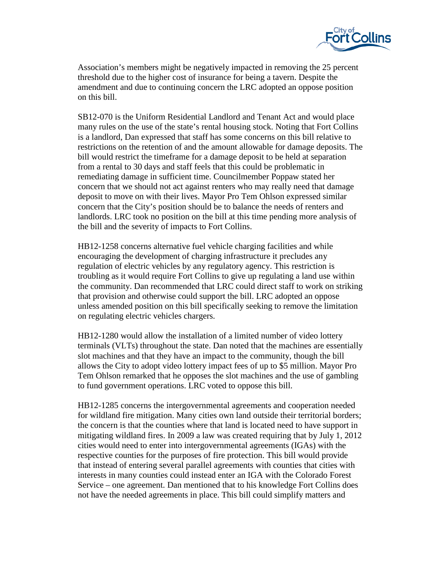

Association's members might be negatively impacted in removing the 25 percent threshold due to the higher cost of insurance for being a tavern. Despite the amendment and due to continuing concern the LRC adopted an oppose position on this bill.

SB12-070 is the Uniform Residential Landlord and Tenant Act and would place many rules on the use of the state's rental housing stock. Noting that Fort Collins is a landlord, Dan expressed that staff has some concerns on this bill relative to restrictions on the retention of and the amount allowable for damage deposits. The bill would restrict the timeframe for a damage deposit to be held at separation from a rental to 30 days and staff feels that this could be problematic in remediating damage in sufficient time. Councilmember Poppaw stated her concern that we should not act against renters who may really need that damage deposit to move on with their lives. Mayor Pro Tem Ohlson expressed similar concern that the City's position should be to balance the needs of renters and landlords. LRC took no position on the bill at this time pending more analysis of the bill and the severity of impacts to Fort Collins.

HB12-1258 concerns alternative fuel vehicle charging facilities and while encouraging the development of charging infrastructure it precludes any regulation of electric vehicles by any regulatory agency. This restriction is troubling as it would require Fort Collins to give up regulating a land use within the community. Dan recommended that LRC could direct staff to work on striking that provision and otherwise could support the bill. LRC adopted an oppose unless amended position on this bill specifically seeking to remove the limitation on regulating electric vehicles chargers.

HB12-1280 would allow the installation of a limited number of video lottery terminals (VLTs) throughout the state. Dan noted that the machines are essentially slot machines and that they have an impact to the community, though the bill allows the City to adopt video lottery impact fees of up to \$5 million. Mayor Pro Tem Ohlson remarked that he opposes the slot machines and the use of gambling to fund government operations. LRC voted to oppose this bill.

HB12-1285 concerns the intergovernmental agreements and cooperation needed for wildland fire mitigation. Many cities own land outside their territorial borders; the concern is that the counties where that land is located need to have support in mitigating wildland fires. In 2009 a law was created requiring that by July 1, 2012 cities would need to enter into intergovernmental agreements (IGAs) with the respective counties for the purposes of fire protection. This bill would provide that instead of entering several parallel agreements with counties that cities with interests in many counties could instead enter an IGA with the Colorado Forest Service – one agreement. Dan mentioned that to his knowledge Fort Collins does not have the needed agreements in place. This bill could simplify matters and